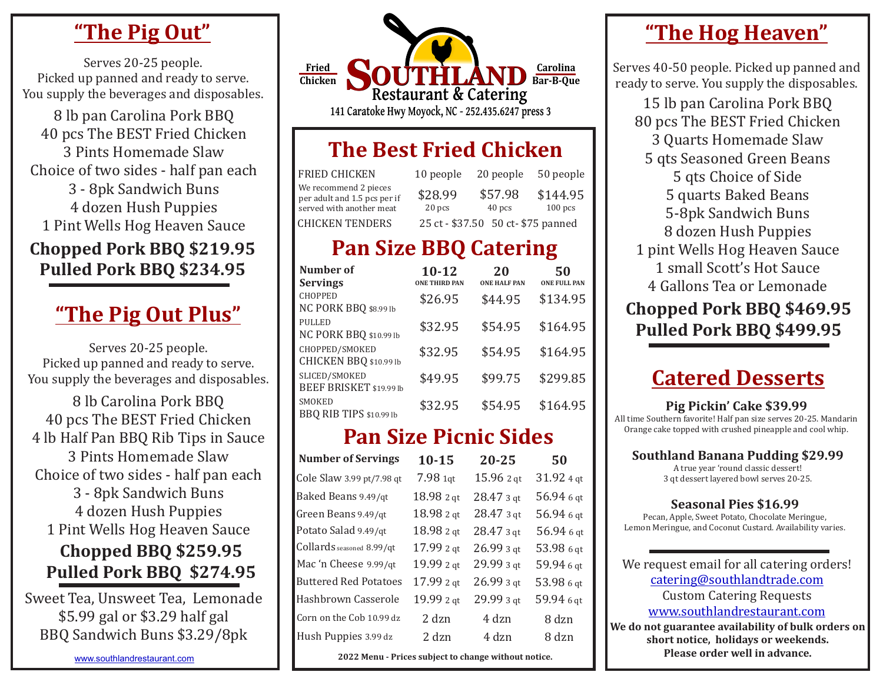## **"The Pig Out"**

Serves 20-25 people. Picked up panned and ready to serve.

8 lb pan Carolina Pork BBQ 40 pcs The BEST Fried Chicken 3 Pints Homemade Slaw Choice of two sides - half pan each 3 - 8pk Sandwich Buns 4 dozen Hush Puppies 1 Pint Wells Hog Heaven Sauce

#### **Chopped Pork BBQ \$219.95** Pulled Pork BBQ \$234.95

# **"The Pig Out Plus"**

Serves 20-25 people. Picked up panned and ready to serve. You supply the beverages and disposables.

8 lb Carolina Pork BBQ 40 pcs The BEST Fried Chicken 4 lb Half Pan BBQ Rib Tips in Sauce 3 Pints Homemade Slaw Choice of two sides - half pan each 3 - 8pk Sandwich Buns 4 dozen Hush Puppies 1 Pint Wells Hog Heaven Sauce **Chopped BBQ \$259.95** Pulled Pork BBO \$274.95

\* \$5.99 gal or \$3.29 half gal Sweet Tea, Unsweet Tea, Lemonade BBQ Sandwich Buns \$3.29/8pk

You supply the beverages and disposables.<br>15 lb pan Carolina Pork BBQ  $S$ <sup>OUTHLAND</sup> **Restaurant & Catering 141 Caratoke Hwy Moyock, NC - 252.435.6247 press 3 Fried Chicken Carolina Bar-B-Que**

## **The Best Fried Chicken**

| <b>FRIED CHICKEN</b>                                                              | 10 people         | 20 people                          | 50 people             |
|-----------------------------------------------------------------------------------|-------------------|------------------------------------|-----------------------|
| We recommend 2 pieces<br>per adult and 1.5 pcs per if<br>served with another meat | \$28.99<br>20 pcs | \$57.98<br>40 pcs                  | \$144.95<br>$100$ pcs |
| CHICKEN TENDERS                                                                   |                   | 25 ct - \$37.50 50 ct- \$75 panned |                       |

## **Pan Size BBQ Catering**

| Number of<br><b>Servings</b>             | $10 - 12$<br><b>ONE THIRD PAN</b> | 20<br><b>ONE HALF PAN</b> | 50<br><b>ONE FULL PAN</b> |
|------------------------------------------|-----------------------------------|---------------------------|---------------------------|
| <b>CHOPPED</b><br>NC PORK BBQ \$8.99 lb  | \$26.95                           | \$44.95                   | \$134.95                  |
| <b>PULLED</b><br>NC PORK BBQ \$10.99 lb  | \$32.95                           | \$54.95                   | \$164.95                  |
| CHOPPED/SMOKED<br>CHICKEN BBQ \$10.99 lb | \$32.95                           | \$54.95                   | \$164.95                  |
| SLICED/SMOKED<br>BEEF BRISKET \$19.99 lb | \$49.95                           | \$99.75                   | \$299.85                  |
| SMOKED<br><b>BBQ RIB TIPS</b> \$10.99 lb | \$32.95                           | \$54.95                   | \$164.95                  |

## **Pan Size Picnic Sides**

| <b>Number of Servings</b>    | $10 - 15$  | 20-25                  | 50          |
|------------------------------|------------|------------------------|-------------|
| Cole Slaw 3.99 pt/7.98 qt    | $7.981$ qt | 15.96 2 gt             | $31.924$ qt |
| Baked Beans 9.49/qt          | 18.98 2 qt | $28.473$ gt            | 56.94 6 qt  |
| Green Beans 9.49/qt          | 18.98 2 qt | $28.473$ gt            | 56.94 6 gt  |
| Potato Salad 9.49/qt         | 18.98 2 qt | $28.473$ gt            | 56.94 6 qt  |
| Collards seasoned 8.99/qt    | 17.99 2 qt | $26.993$ <sub>dt</sub> | 53.98 6 gt  |
| Mac 'n Cheese 9.99/qt        | 19.99 2 qt | $29.993$ gt            | 59.94 6 qt  |
| <b>Buttered Red Potatoes</b> | 17.99 2 qt | $26.993$ gt            | 53.98 6 gt  |
| Hashbrown Casserole          | 19.99 2 gt | $29.993$ <sub>gt</sub> | 59.94 6 gt  |
| Corn on the Cob 10.99 dz     | 2 dzn      | 4 dzn                  | 8 dzn       |
| Hush Puppies 3.99 dz         | 2 dzn      | 4 dzn                  | 8 dzn       |

#### [www.southlandrestaurant.com](http://www.southlandrestaurant.com) **1 1 2022 Menu** - Prices subject to change without notice.

## **"The Hog Heaven"**

Serves 40-50 people. Picked up panned and ready to serve. You supply the disposables.

80 pcs The BEST Fried Chicken 3 Quarts Homemade Slaw 5 qts Seasoned Green Beans 5 qts Choice of Side 5 quarts Baked Beans 5-8pk Sandwich Buns 8 dozen Hush Puppies 1 pint Wells Hog Heaven Sauce 1 small Scott's Hot Sauce 4 Gallons Tea or Lemonade **Chopped Pork BBQ \$469.95 Pulled Pork BBQ \$499.95**

## **Catered Desserts**

#### **Pig Pickin' Cake \$39.99**

All time Southern favorite! Half pan size serves 20-25. Mandarin Orange cake topped with crushed pineapple and cool whip.

#### **Southland Banana Pudding \$29.99**

A true year 'round classic dessert! 3 qt dessert layered bowl serves 20-25.

#### **Seasonal Pies \$16.99**

Pecan, Apple, Sweet Potato, Chocolate Meringue, Lemon Meringue, and Coconut Custard. Availability varies.

We do not guarantee availability of bulk orders on short notice, holidays or weekends. We request email for all catering orders! [catering@southlandtrade.com](mailto:catering@southlandtrade.com) Custom Catering Requests [www.southlandrestaurant.com](http://www.southlandrestaurant.com)

**Please order well in advance.**